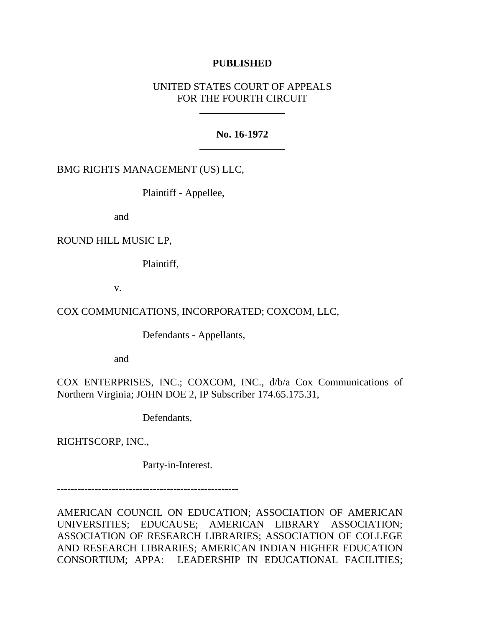## **PUBLISHED**

# UNITED STATES COURT OF APPEALS FOR THE FOURTH CIRCUIT

### **No. 16-1972**

## BMG RIGHTS MANAGEMENT (US) LLC,

Plaintiff - Appellee,

and

## ROUND HILL MUSIC LP,

Plaintiff,

v.

# COX COMMUNICATIONS, INCORPORATED; COXCOM, LLC,

Defendants - Appellants,

and

COX ENTERPRISES, INC.; COXCOM, INC., d/b/a Cox Communications of Northern Virginia; JOHN DOE 2, IP Subscriber 174.65.175.31,

Defendants,

RIGHTSCORP, INC.,

Party-in-Interest.

-----------------------------------------------------

AMERICAN COUNCIL ON EDUCATION; ASSOCIATION OF AMERICAN UNIVERSITIES; EDUCAUSE; AMERICAN LIBRARY ASSOCIATION; ASSOCIATION OF RESEARCH LIBRARIES; ASSOCIATION OF COLLEGE AND RESEARCH LIBRARIES; AMERICAN INDIAN HIGHER EDUCATION CONSORTIUM; APPA: LEADERSHIP IN EDUCATIONAL FACILITIES;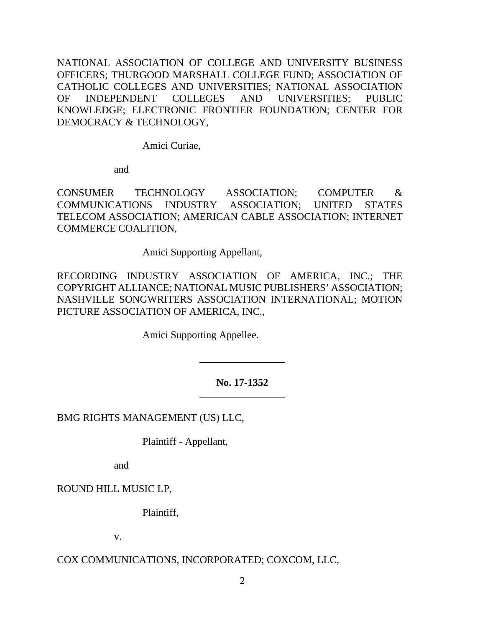NATIONAL ASSOCIATION OF COLLEGE AND UNIVERSITY BUSINESS OFFICERS; THURGOOD MARSHALL COLLEGE FUND; ASSOCIATION OF CATHOLIC COLLEGES AND UNIVERSITIES; NATIONAL ASSOCIATION OF INDEPENDENT COLLEGES AND UNIVERSITIES; PUBLIC KNOWLEDGE; ELECTRONIC FRONTIER FOUNDATION; CENTER FOR DEMOCRACY & TECHNOLOGY,

Amici Curiae,

and

CONSUMER TECHNOLOGY ASSOCIATION; COMPUTER & COMMUNICATIONS INDUSTRY ASSOCIATION; UNITED STATES TELECOM ASSOCIATION; AMERICAN CABLE ASSOCIATION; INTERNET COMMERCE COALITION,

Amici Supporting Appellant,

RECORDING INDUSTRY ASSOCIATION OF AMERICA, INC.; THE COPYRIGHT ALLIANCE; NATIONAL MUSIC PUBLISHERS' ASSOCIATION; NASHVILLE SONGWRITERS ASSOCIATION INTERNATIONAL; MOTION PICTURE ASSOCIATION OF AMERICA, INC.,

Amici Supporting Appellee.

# **No. 17-1352**

BMG RIGHTS MANAGEMENT (US) LLC,

Plaintiff - Appellant,

and

ROUND HILL MUSIC LP,

Plaintiff,

v.

# COX COMMUNICATIONS, INCORPORATED; COXCOM, LLC,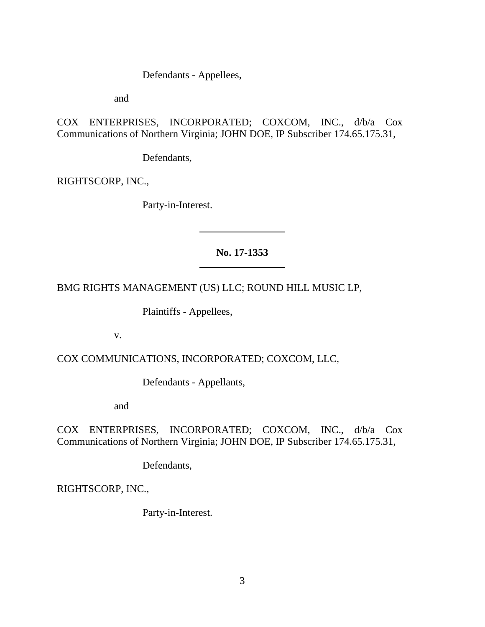Defendants - Appellees,

and

COX ENTERPRISES, INCORPORATED; COXCOM, INC., d/b/a Cox Communications of Northern Virginia; JOHN DOE, IP Subscriber 174.65.175.31,

Defendants,

RIGHTSCORP, INC.,

Party-in-Interest.

# **No. 17-1353**

BMG RIGHTS MANAGEMENT (US) LLC; ROUND HILL MUSIC LP,

Plaintiffs - Appellees,

v.

COX COMMUNICATIONS, INCORPORATED; COXCOM, LLC,

Defendants - Appellants,

and

COX ENTERPRISES, INCORPORATED; COXCOM, INC., d/b/a Cox Communications of Northern Virginia; JOHN DOE, IP Subscriber 174.65.175.31,

Defendants,

RIGHTSCORP, INC.,

Party-in-Interest.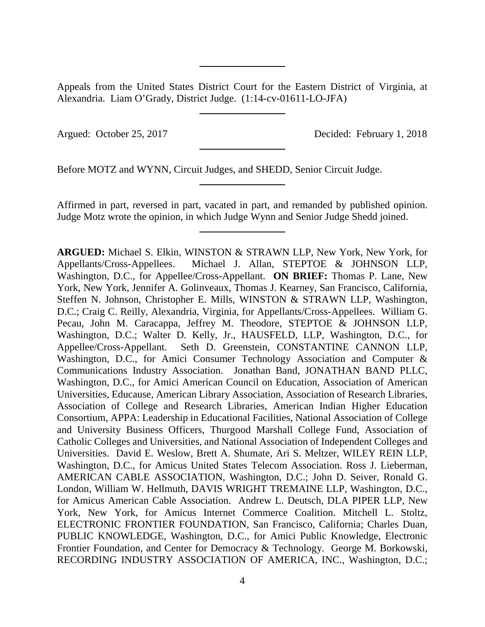Appeals from the United States District Court for the Eastern District of Virginia, at Alexandria. Liam O'Grady, District Judge. (1:14-cv-01611-LO-JFA)

Argued: October 25, 2017 Decided: February 1, 2018

Before MOTZ and WYNN, Circuit Judges, and SHEDD, Senior Circuit Judge.

Affirmed in part, reversed in part, vacated in part, and remanded by published opinion. Judge Motz wrote the opinion, in which Judge Wynn and Senior Judge Shedd joined.

**ARGUED:** Michael S. Elkin, WINSTON & STRAWN LLP, New York, New York, for Appellants/Cross-Appellees. Michael J. Allan, STEPTOE & JOHNSON LLP, Washington, D.C., for Appellee/Cross-Appellant. **ON BRIEF:** Thomas P. Lane, New York, New York, Jennifer A. Golinveaux, Thomas J. Kearney, San Francisco, California, Steffen N. Johnson, Christopher E. Mills, WINSTON & STRAWN LLP, Washington, D.C.; Craig C. Reilly, Alexandria, Virginia, for Appellants/Cross-Appellees. William G. Pecau, John M. Caracappa, Jeffrey M. Theodore, STEPTOE & JOHNSON LLP, Washington, D.C.; Walter D. Kelly, Jr., HAUSFELD, LLP, Washington, D.C., for Appellee/Cross-Appellant. Seth D. Greenstein, CONSTANTINE CANNON LLP, Washington, D.C., for Amici Consumer Technology Association and Computer & Communications Industry Association. Jonathan Band, JONATHAN BAND PLLC, Washington, D.C., for Amici American Council on Education, Association of American Universities, Educause, American Library Association, Association of Research Libraries, Association of College and Research Libraries, American Indian Higher Education Consortium, APPA: Leadership in Educational Facilities, National Association of College and University Business Officers, Thurgood Marshall College Fund, Association of Catholic Colleges and Universities, and National Association of Independent Colleges and Universities. David E. Weslow, Brett A. Shumate, Ari S. Meltzer, WILEY REIN LLP, Washington, D.C., for Amicus United States Telecom Association. Ross J. Lieberman, AMERICAN CABLE ASSOCIATION, Washington, D.C.; John D. Seiver, Ronald G. London, William W. Hellmuth, DAVIS WRIGHT TREMAINE LLP, Washington, D.C., for Amicus American Cable Association. Andrew L. Deutsch, DLA PIPER LLP, New York, New York, for Amicus Internet Commerce Coalition. Mitchell L. Stoltz, ELECTRONIC FRONTIER FOUNDATION, San Francisco, California; Charles Duan, PUBLIC KNOWLEDGE, Washington, D.C., for Amici Public Knowledge, Electronic Frontier Foundation, and Center for Democracy & Technology. George M. Borkowski, RECORDING INDUSTRY ASSOCIATION OF AMERICA, INC., Washington, D.C.;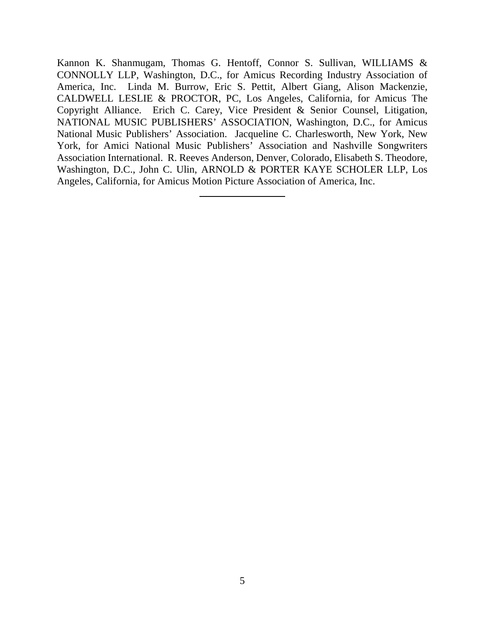Kannon K. Shanmugam, Thomas G. Hentoff, Connor S. Sullivan, WILLIAMS & CONNOLLY LLP, Washington, D.C., for Amicus Recording Industry Association of America, Inc. Linda M. Burrow, Eric S. Pettit, Albert Giang, Alison Mackenzie, CALDWELL LESLIE & PROCTOR, PC, Los Angeles, California, for Amicus The Copyright Alliance. Erich C. Carey, Vice President & Senior Counsel, Litigation, NATIONAL MUSIC PUBLISHERS' ASSOCIATION, Washington, D.C., for Amicus National Music Publishers' Association. Jacqueline C. Charlesworth, New York, New York, for Amici National Music Publishers' Association and Nashville Songwriters Association International. R. Reeves Anderson, Denver, Colorado, Elisabeth S. Theodore, Washington, D.C., John C. Ulin, ARNOLD & PORTER KAYE SCHOLER LLP, Los Angeles, California, for Amicus Motion Picture Association of America, Inc.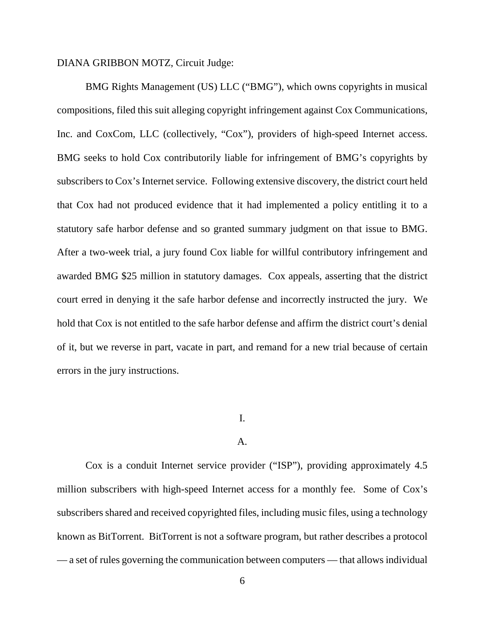### DIANA GRIBBON MOTZ, Circuit Judge:

BMG Rights Management (US) LLC ("BMG"), which owns copyrights in musical compositions, filed this suit alleging copyright infringement against Cox Communications, Inc. and CoxCom, LLC (collectively, "Cox"), providers of high-speed Internet access. BMG seeks to hold Cox contributorily liable for infringement of BMG's copyrights by subscribers to Cox's Internet service. Following extensive discovery, the district court held that Cox had not produced evidence that it had implemented a policy entitling it to a statutory safe harbor defense and so granted summary judgment on that issue to BMG. After a two-week trial, a jury found Cox liable for willful contributory infringement and awarded BMG \$25 million in statutory damages. Cox appeals, asserting that the district court erred in denying it the safe harbor defense and incorrectly instructed the jury. We hold that Cox is not entitled to the safe harbor defense and affirm the district court's denial of it, but we reverse in part, vacate in part, and remand for a new trial because of certain errors in the jury instructions.

# I.

#### A.

Cox is a conduit Internet service provider ("ISP"), providing approximately 4.5 million subscribers with high-speed Internet access for a monthly fee. Some of Cox's subscribers shared and received copyrighted files, including music files, using a technology known as BitTorrent. BitTorrent is not a software program, but rather describes a protocol — a set of rules governing the communication between computers — that allows individual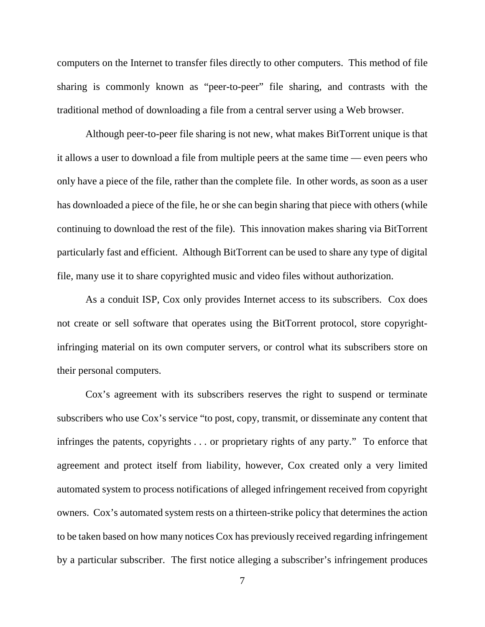computers on the Internet to transfer files directly to other computers. This method of file sharing is commonly known as "peer-to-peer" file sharing, and contrasts with the traditional method of downloading a file from a central server using a Web browser.

Although peer-to-peer file sharing is not new, what makes BitTorrent unique is that it allows a user to download a file from multiple peers at the same time — even peers who only have a piece of the file, rather than the complete file. In other words, as soon as a user has downloaded a piece of the file, he or she can begin sharing that piece with others (while continuing to download the rest of the file). This innovation makes sharing via BitTorrent particularly fast and efficient. Although BitTorrent can be used to share any type of digital file, many use it to share copyrighted music and video files without authorization.

As a conduit ISP, Cox only provides Internet access to its subscribers. Cox does not create or sell software that operates using the BitTorrent protocol, store copyrightinfringing material on its own computer servers, or control what its subscribers store on their personal computers.

Cox's agreement with its subscribers reserves the right to suspend or terminate subscribers who use Cox's service "to post, copy, transmit, or disseminate any content that infringes the patents, copyrights . . . or proprietary rights of any party." To enforce that agreement and protect itself from liability, however, Cox created only a very limited automated system to process notifications of alleged infringement received from copyright owners. Cox's automated system rests on a thirteen-strike policy that determines the action to be taken based on how many notices Cox has previously received regarding infringement by a particular subscriber. The first notice alleging a subscriber's infringement produces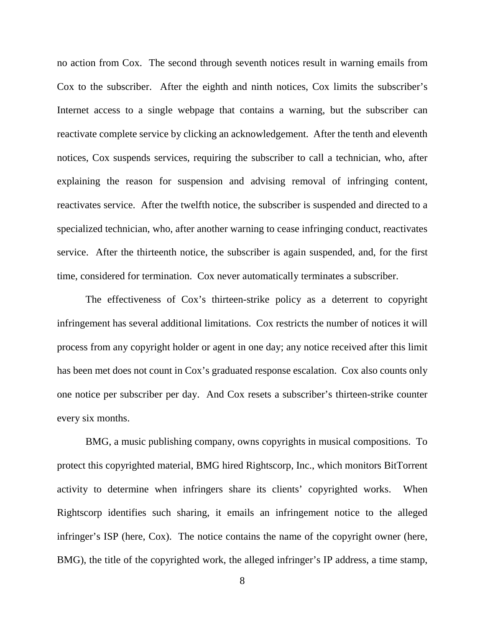no action from Cox. The second through seventh notices result in warning emails from Cox to the subscriber. After the eighth and ninth notices, Cox limits the subscriber's Internet access to a single webpage that contains a warning, but the subscriber can reactivate complete service by clicking an acknowledgement. After the tenth and eleventh notices, Cox suspends services, requiring the subscriber to call a technician, who, after explaining the reason for suspension and advising removal of infringing content, reactivates service. After the twelfth notice, the subscriber is suspended and directed to a specialized technician, who, after another warning to cease infringing conduct, reactivates service. After the thirteenth notice, the subscriber is again suspended, and, for the first time, considered for termination. Cox never automatically terminates a subscriber.

The effectiveness of Cox's thirteen-strike policy as a deterrent to copyright infringement has several additional limitations. Cox restricts the number of notices it will process from any copyright holder or agent in one day; any notice received after this limit has been met does not count in Cox's graduated response escalation. Cox also counts only one notice per subscriber per day. And Cox resets a subscriber's thirteen-strike counter every six months.

BMG, a music publishing company, owns copyrights in musical compositions. To protect this copyrighted material, BMG hired Rightscorp, Inc., which monitors BitTorrent activity to determine when infringers share its clients' copyrighted works. When Rightscorp identifies such sharing, it emails an infringement notice to the alleged infringer's ISP (here, Cox). The notice contains the name of the copyright owner (here, BMG), the title of the copyrighted work, the alleged infringer's IP address, a time stamp,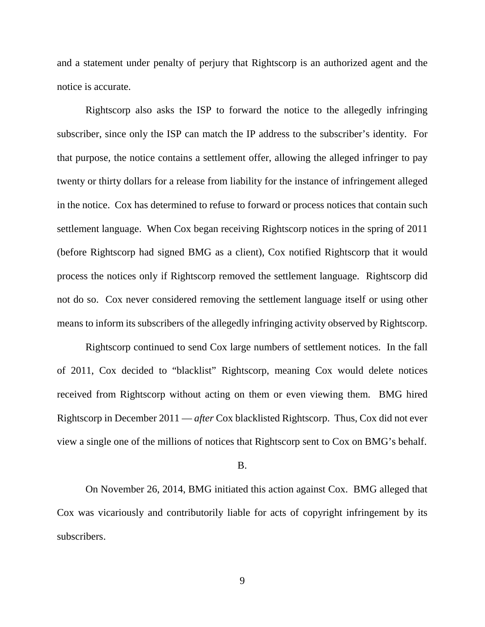and a statement under penalty of perjury that Rightscorp is an authorized agent and the notice is accurate.

Rightscorp also asks the ISP to forward the notice to the allegedly infringing subscriber, since only the ISP can match the IP address to the subscriber's identity. For that purpose, the notice contains a settlement offer, allowing the alleged infringer to pay twenty or thirty dollars for a release from liability for the instance of infringement alleged in the notice. Cox has determined to refuse to forward or process notices that contain such settlement language. When Cox began receiving Rightscorp notices in the spring of 2011 (before Rightscorp had signed BMG as a client), Cox notified Rightscorp that it would process the notices only if Rightscorp removed the settlement language. Rightscorp did not do so. Cox never considered removing the settlement language itself or using other means to inform its subscribers of the allegedly infringing activity observed by Rightscorp.

Rightscorp continued to send Cox large numbers of settlement notices. In the fall of 2011, Cox decided to "blacklist" Rightscorp, meaning Cox would delete notices received from Rightscorp without acting on them or even viewing them. BMG hired Rightscorp in December 2011 — *after* Cox blacklisted Rightscorp. Thus, Cox did not ever view a single one of the millions of notices that Rightscorp sent to Cox on BMG's behalf.

B.

On November 26, 2014, BMG initiated this action against Cox. BMG alleged that Cox was vicariously and contributorily liable for acts of copyright infringement by its subscribers.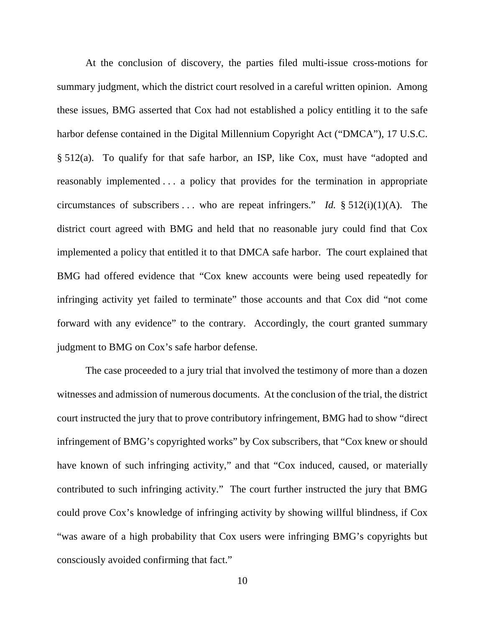At the conclusion of discovery, the parties filed multi-issue cross-motions for summary judgment, which the district court resolved in a careful written opinion. Among these issues, BMG asserted that Cox had not established a policy entitling it to the safe harbor defense contained in the Digital Millennium Copyright Act ("DMCA"), 17 U.S.C. § 512(a). To qualify for that safe harbor, an ISP, like Cox, must have "adopted and reasonably implemented . . . a policy that provides for the termination in appropriate circumstances of subscribers  $\dots$  who are repeat infringers." *Id.* § 512(i)(1)(A). The district court agreed with BMG and held that no reasonable jury could find that Cox implemented a policy that entitled it to that DMCA safe harbor. The court explained that BMG had offered evidence that "Cox knew accounts were being used repeatedly for infringing activity yet failed to terminate" those accounts and that Cox did "not come forward with any evidence" to the contrary. Accordingly, the court granted summary judgment to BMG on Cox's safe harbor defense.

The case proceeded to a jury trial that involved the testimony of more than a dozen witnesses and admission of numerous documents. At the conclusion of the trial, the district court instructed the jury that to prove contributory infringement, BMG had to show "direct infringement of BMG's copyrighted works" by Cox subscribers, that "Cox knew or should have known of such infringing activity," and that "Cox induced, caused, or materially contributed to such infringing activity." The court further instructed the jury that BMG could prove Cox's knowledge of infringing activity by showing willful blindness, if Cox "was aware of a high probability that Cox users were infringing BMG's copyrights but consciously avoided confirming that fact."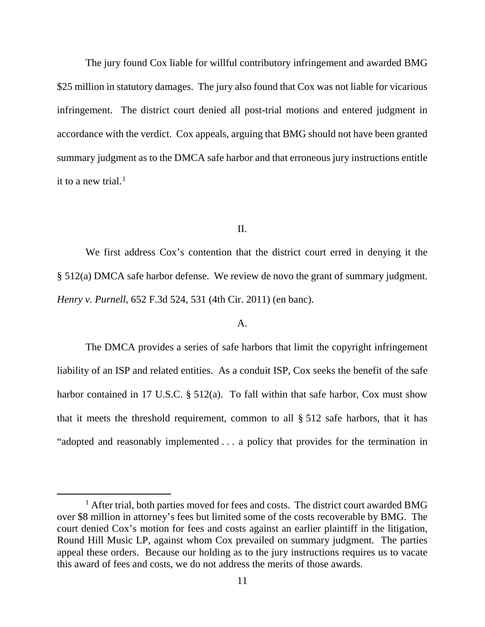The jury found Cox liable for willful contributory infringement and awarded BMG \$25 million in statutory damages. The jury also found that Cox was not liable for vicarious infringement. The district court denied all post-trial motions and entered judgment in accordance with the verdict. Cox appeals, arguing that BMG should not have been granted summary judgment as to the DMCA safe harbor and that erroneous jury instructions entitle it to a new trial. [1](#page-10-0)

#### II.

We first address Cox's contention that the district court erred in denying it the § 512(a) DMCA safe harbor defense. We review de novo the grant of summary judgment. *Henry v. Purnell*, 652 F.3d 524, 531 (4th Cir. 2011) (en banc).

### A.

The DMCA provides a series of safe harbors that limit the copyright infringement liability of an ISP and related entities. As a conduit ISP, Cox seeks the benefit of the safe harbor contained in 17 U.S.C. § 512(a). To fall within that safe harbor, Cox must show that it meets the threshold requirement, common to all § 512 safe harbors, that it has "adopted and reasonably implemented . . . a policy that provides for the termination in

<span id="page-10-0"></span><sup>&</sup>lt;sup>1</sup> After trial, both parties moved for fees and costs. The district court awarded BMG over \$8 million in attorney's fees but limited some of the costs recoverable by BMG. The court denied Cox's motion for fees and costs against an earlier plaintiff in the litigation, Round Hill Music LP, against whom Cox prevailed on summary judgment. The parties appeal these orders. Because our holding as to the jury instructions requires us to vacate this award of fees and costs, we do not address the merits of those awards.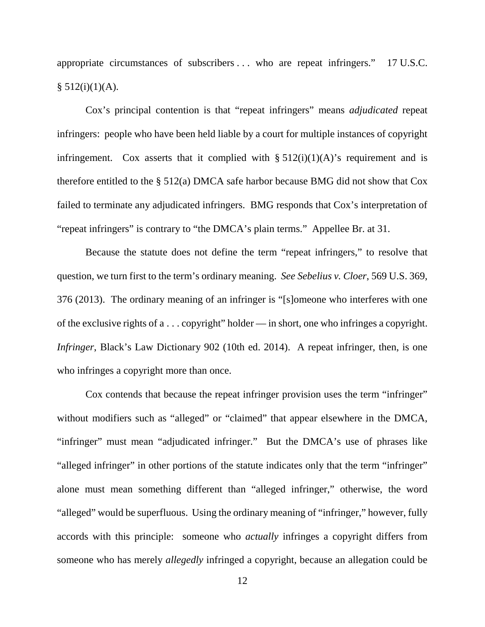appropriate circumstances of subscribers . . . who are repeat infringers." 17 U.S.C.  $§ 512(i)(1)(A).$ 

Cox's principal contention is that "repeat infringers" means *adjudicated* repeat infringers: people who have been held liable by a court for multiple instances of copyright infringement. Cox asserts that it complied with  $\S 512(i)(1)(A)$ 's requirement and is therefore entitled to the § 512(a) DMCA safe harbor because BMG did not show that Cox failed to terminate any adjudicated infringers. BMG responds that Cox's interpretation of "repeat infringers" is contrary to "the DMCA's plain terms." Appellee Br. at 31.

Because the statute does not define the term "repeat infringers," to resolve that question, we turn first to the term's ordinary meaning. *See Sebelius v. Cloer*, 569 U.S. 369, 376 (2013). The ordinary meaning of an infringer is "[s]omeone who interferes with one of the exclusive rights of a . . . copyright" holder — in short, one who infringes a copyright. *Infringer*, Black's Law Dictionary 902 (10th ed. 2014). A repeat infringer, then, is one who infringes a copyright more than once.

Cox contends that because the repeat infringer provision uses the term "infringer" without modifiers such as "alleged" or "claimed" that appear elsewhere in the DMCA, "infringer" must mean "adjudicated infringer." But the DMCA's use of phrases like "alleged infringer" in other portions of the statute indicates only that the term "infringer" alone must mean something different than "alleged infringer," otherwise, the word "alleged" would be superfluous. Using the ordinary meaning of "infringer," however, fully accords with this principle: someone who *actually* infringes a copyright differs from someone who has merely *allegedly* infringed a copyright, because an allegation could be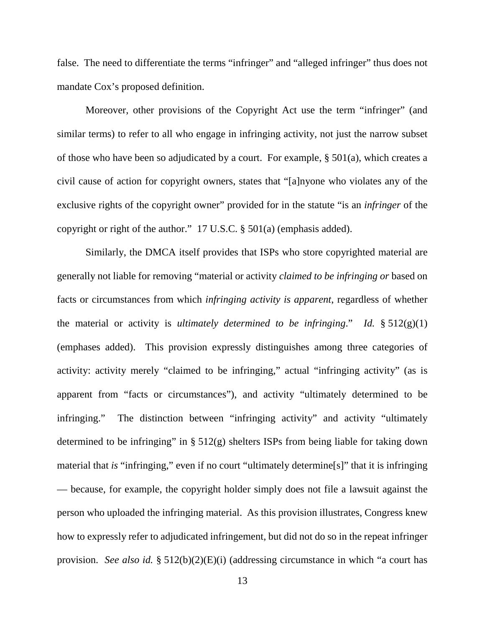false. The need to differentiate the terms "infringer" and "alleged infringer" thus does not mandate Cox's proposed definition.

Moreover, other provisions of the Copyright Act use the term "infringer" (and similar terms) to refer to all who engage in infringing activity, not just the narrow subset of those who have been so adjudicated by a court. For example, § 501(a), which creates a civil cause of action for copyright owners, states that "[a]nyone who violates any of the exclusive rights of the copyright owner" provided for in the statute "is an *infringer* of the copyright or right of the author." 17 U.S.C. § 501(a) (emphasis added).

Similarly, the DMCA itself provides that ISPs who store copyrighted material are generally not liable for removing "material or activity *claimed to be infringing or* based on facts or circumstances from which *infringing activity is apparent*, regardless of whether the material or activity is *ultimately determined to be infringing*." *Id.* § 512(g)(1) (emphases added). This provision expressly distinguishes among three categories of activity: activity merely "claimed to be infringing," actual "infringing activity" (as is apparent from "facts or circumstances"), and activity "ultimately determined to be infringing." The distinction between "infringing activity" and activity "ultimately determined to be infringing" in § 512(g) shelters ISPs from being liable for taking down material that *is* "infringing," even if no court "ultimately determine[s]" that it is infringing — because, for example, the copyright holder simply does not file a lawsuit against the person who uploaded the infringing material. As this provision illustrates, Congress knew how to expressly refer to adjudicated infringement, but did not do so in the repeat infringer provision. *See also id.* § 512(b)(2)(E)(i) (addressing circumstance in which "a court has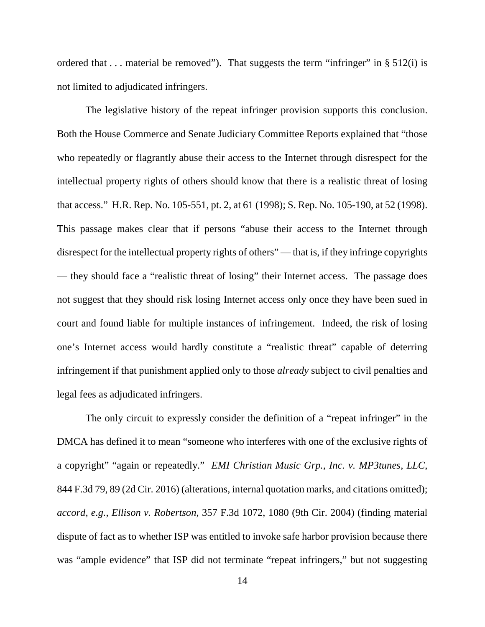ordered that  $\dots$  material be removed"). That suggests the term "infringer" in § 512(i) is not limited to adjudicated infringers.

The legislative history of the repeat infringer provision supports this conclusion. Both the House Commerce and Senate Judiciary Committee Reports explained that "those who repeatedly or flagrantly abuse their access to the Internet through disrespect for the intellectual property rights of others should know that there is a realistic threat of losing that access." H.R. Rep. No. 105-551, pt. 2, at 61 (1998); S. Rep. No. 105-190, at 52 (1998). This passage makes clear that if persons "abuse their access to the Internet through disrespect for the intellectual property rights of others" — that is, if they infringe copyrights — they should face a "realistic threat of losing" their Internet access. The passage does not suggest that they should risk losing Internet access only once they have been sued in court and found liable for multiple instances of infringement. Indeed, the risk of losing one's Internet access would hardly constitute a "realistic threat" capable of deterring infringement if that punishment applied only to those *already* subject to civil penalties and legal fees as adjudicated infringers.

The only circuit to expressly consider the definition of a "repeat infringer" in the DMCA has defined it to mean "someone who interferes with one of the exclusive rights of a copyright" "again or repeatedly." *EMI Christian Music Grp., Inc. v. MP3tunes, LLC*, 844 F.3d 79, 89 (2d Cir. 2016) (alterations, internal quotation marks, and citations omitted); *accord, e.g.*, *Ellison v. Robertson*, 357 F.3d 1072, 1080 (9th Cir. 2004) (finding material dispute of fact as to whether ISP was entitled to invoke safe harbor provision because there was "ample evidence" that ISP did not terminate "repeat infringers," but not suggesting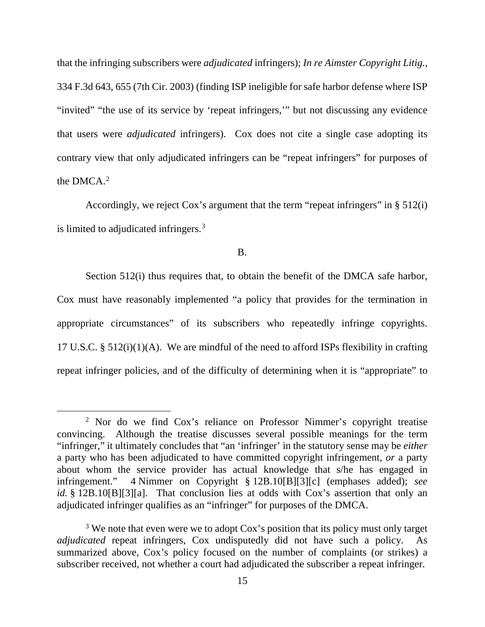that the infringing subscribers were *adjudicated* infringers); *In re Aimster Copyright Litig.*, 334 F.3d 643, 655 (7th Cir. 2003) (finding ISP ineligible for safe harbor defense where ISP "invited" "the use of its service by 'repeat infringers,'" but not discussing any evidence that users were *adjudicated* infringers). Cox does not cite a single case adopting its contrary view that only adjudicated infringers can be "repeat infringers" for purposes of the DMCA.[2](#page-14-0)

Accordingly, we reject Cox's argument that the term "repeat infringers" in § 512(i) is limited to adjudicated infringers.[3](#page-14-1)

B.

Section 512(i) thus requires that, to obtain the benefit of the DMCA safe harbor, Cox must have reasonably implemented "a policy that provides for the termination in appropriate circumstances" of its subscribers who repeatedly infringe copyrights. 17 U.S.C. §  $512(i)(1)(A)$ . We are mindful of the need to afford ISPs flexibility in crafting repeat infringer policies, and of the difficulty of determining when it is "appropriate" to

<span id="page-14-0"></span> <sup>2</sup> Nor do we find Cox's reliance on Professor Nimmer's copyright treatise convincing. Although the treatise discusses several possible meanings for the term "infringer," it ultimately concludes that "an 'infringer' in the statutory sense may be *either* a party who has been adjudicated to have committed copyright infringement, *or* a party about whom the service provider has actual knowledge that s/he has engaged in infringement." 4 Nimmer on Copyright § 12B.10[B][3][c] (emphases added); *see id.* § 12B.10[B][3][a]. That conclusion lies at odds with Cox's assertion that only an adjudicated infringer qualifies as an "infringer" for purposes of the DMCA.

<span id="page-14-1"></span><sup>&</sup>lt;sup>3</sup> We note that even were we to adopt Cox's position that its policy must only target *adjudicated* repeat infringers, Cox undisputedly did not have such a policy. As summarized above, Cox's policy focused on the number of complaints (or strikes) a subscriber received, not whether a court had adjudicated the subscriber a repeat infringer.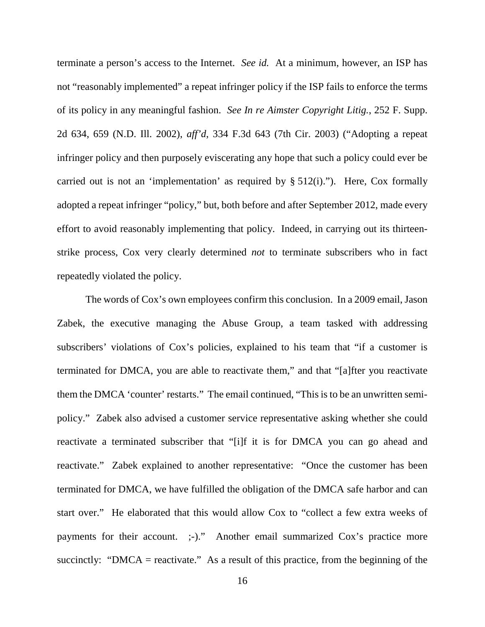terminate a person's access to the Internet. *See id.* At a minimum, however, an ISP has not "reasonably implemented" a repeat infringer policy if the ISP fails to enforce the terms of its policy in any meaningful fashion. *See In re Aimster Copyright Litig.*, 252 F. Supp. 2d 634, 659 (N.D. Ill. 2002), *aff'd*, 334 F.3d 643 (7th Cir. 2003) ("Adopting a repeat infringer policy and then purposely eviscerating any hope that such a policy could ever be carried out is not an 'implementation' as required by  $\S 512(i)$ ."). Here, Cox formally adopted a repeat infringer "policy," but, both before and after September 2012, made every effort to avoid reasonably implementing that policy. Indeed, in carrying out its thirteenstrike process, Cox very clearly determined *not* to terminate subscribers who in fact repeatedly violated the policy.

The words of Cox's own employees confirm this conclusion. In a 2009 email, Jason Zabek, the executive managing the Abuse Group, a team tasked with addressing subscribers' violations of Cox's policies, explained to his team that "if a customer is terminated for DMCA, you are able to reactivate them," and that "[a]fter you reactivate them the DMCA 'counter' restarts." The email continued, "This is to be an unwritten semipolicy." Zabek also advised a customer service representative asking whether she could reactivate a terminated subscriber that "[i]f it is for DMCA you can go ahead and reactivate." Zabek explained to another representative: "Once the customer has been terminated for DMCA, we have fulfilled the obligation of the DMCA safe harbor and can start over." He elaborated that this would allow Cox to "collect a few extra weeks of payments for their account. ;-)." Another email summarized Cox's practice more succinctly: "DMCA = reactivate." As a result of this practice, from the beginning of the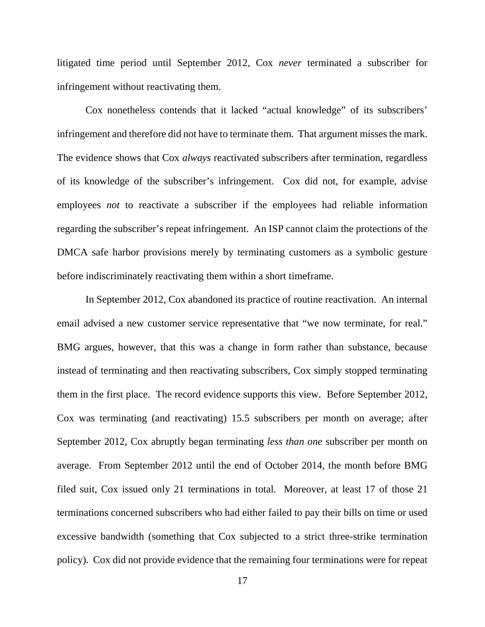litigated time period until September 2012, Cox *never* terminated a subscriber for infringement without reactivating them.

Cox nonetheless contends that it lacked "actual knowledge" of its subscribers' infringement and therefore did not have to terminate them. That argument misses the mark. The evidence shows that Cox *always* reactivated subscribers after termination, regardless of its knowledge of the subscriber's infringement. Cox did not, for example, advise employees *not* to reactivate a subscriber if the employees had reliable information regarding the subscriber's repeat infringement. An ISP cannot claim the protections of the DMCA safe harbor provisions merely by terminating customers as a symbolic gesture before indiscriminately reactivating them within a short timeframe.

In September 2012, Cox abandoned its practice of routine reactivation. An internal email advised a new customer service representative that "we now terminate, for real." BMG argues, however, that this was a change in form rather than substance, because instead of terminating and then reactivating subscribers, Cox simply stopped terminating them in the first place. The record evidence supports this view. Before September 2012, Cox was terminating (and reactivating) 15.5 subscribers per month on average; after September 2012, Cox abruptly began terminating *less than one* subscriber per month on average. From September 2012 until the end of October 2014, the month before BMG filed suit, Cox issued only 21 terminations in total. Moreover, at least 17 of those 21 terminations concerned subscribers who had either failed to pay their bills on time or used excessive bandwidth (something that Cox subjected to a strict three-strike termination policy). Cox did not provide evidence that the remaining four terminations were for repeat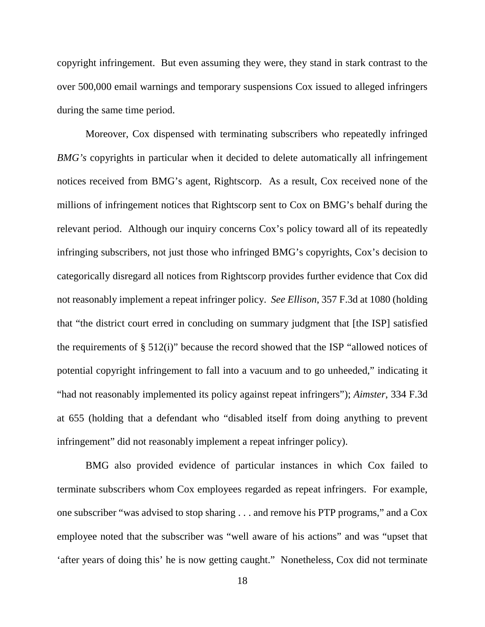copyright infringement. But even assuming they were, they stand in stark contrast to the over 500,000 email warnings and temporary suspensions Cox issued to alleged infringers during the same time period.

Moreover, Cox dispensed with terminating subscribers who repeatedly infringed *BMG's* copyrights in particular when it decided to delete automatically all infringement notices received from BMG's agent, Rightscorp. As a result, Cox received none of the millions of infringement notices that Rightscorp sent to Cox on BMG's behalf during the relevant period. Although our inquiry concerns Cox's policy toward all of its repeatedly infringing subscribers, not just those who infringed BMG's copyrights, Cox's decision to categorically disregard all notices from Rightscorp provides further evidence that Cox did not reasonably implement a repeat infringer policy. *See Ellison*, 357 F.3d at 1080 (holding that "the district court erred in concluding on summary judgment that [the ISP] satisfied the requirements of § 512(i)" because the record showed that the ISP "allowed notices of potential copyright infringement to fall into a vacuum and to go unheeded," indicating it "had not reasonably implemented its policy against repeat infringers"); *Aimster*, 334 F.3d at 655 (holding that a defendant who "disabled itself from doing anything to prevent infringement" did not reasonably implement a repeat infringer policy).

BMG also provided evidence of particular instances in which Cox failed to terminate subscribers whom Cox employees regarded as repeat infringers. For example, one subscriber "was advised to stop sharing . . . and remove his PTP programs," and a Cox employee noted that the subscriber was "well aware of his actions" and was "upset that 'after years of doing this' he is now getting caught." Nonetheless, Cox did not terminate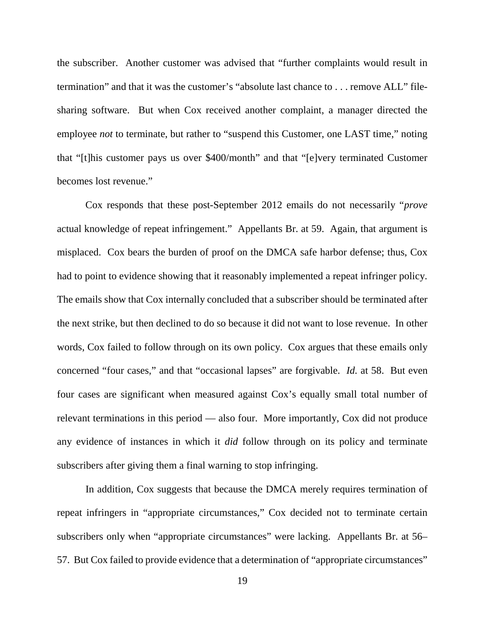the subscriber. Another customer was advised that "further complaints would result in termination" and that it was the customer's "absolute last chance to . . . remove ALL" filesharing software. But when Cox received another complaint, a manager directed the employee *not* to terminate, but rather to "suspend this Customer, one LAST time," noting that "[t]his customer pays us over \$400/month" and that "[e]very terminated Customer becomes lost revenue."

Cox responds that these post-September 2012 emails do not necessarily "*prove*  actual knowledge of repeat infringement." Appellants Br. at 59. Again, that argument is misplaced. Cox bears the burden of proof on the DMCA safe harbor defense; thus, Cox had to point to evidence showing that it reasonably implemented a repeat infringer policy. The emails show that Cox internally concluded that a subscriber should be terminated after the next strike, but then declined to do so because it did not want to lose revenue. In other words, Cox failed to follow through on its own policy. Cox argues that these emails only concerned "four cases," and that "occasional lapses" are forgivable. *Id.* at 58. But even four cases are significant when measured against Cox's equally small total number of relevant terminations in this period — also four. More importantly, Cox did not produce any evidence of instances in which it *did* follow through on its policy and terminate subscribers after giving them a final warning to stop infringing.

In addition, Cox suggests that because the DMCA merely requires termination of repeat infringers in "appropriate circumstances," Cox decided not to terminate certain subscribers only when "appropriate circumstances" were lacking. Appellants Br. at 56– 57. But Cox failed to provide evidence that a determination of "appropriate circumstances"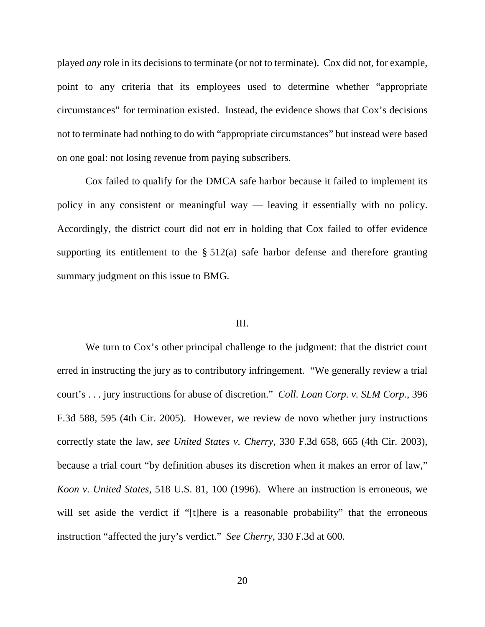played *any* role in its decisions to terminate (or not to terminate). Cox did not, for example, point to any criteria that its employees used to determine whether "appropriate circumstances" for termination existed. Instead, the evidence shows that Cox's decisions not to terminate had nothing to do with "appropriate circumstances" but instead were based on one goal: not losing revenue from paying subscribers.

Cox failed to qualify for the DMCA safe harbor because it failed to implement its policy in any consistent or meaningful way — leaving it essentially with no policy. Accordingly, the district court did not err in holding that Cox failed to offer evidence supporting its entitlement to the  $\S$  512(a) safe harbor defense and therefore granting summary judgment on this issue to BMG.

### III.

We turn to Cox's other principal challenge to the judgment: that the district court erred in instructing the jury as to contributory infringement. "We generally review a trial court's . . . jury instructions for abuse of discretion." *Coll. Loan Corp. v. SLM Corp.*, 396 F.3d 588, 595 (4th Cir. 2005). However, we review de novo whether jury instructions correctly state the law, *see United States v. Cherry*, 330 F.3d 658, 665 (4th Cir. 2003), because a trial court "by definition abuses its discretion when it makes an error of law," *Koon v. United States*, 518 U.S. 81, 100 (1996). Where an instruction is erroneous, we will set aside the verdict if "[t]here is a reasonable probability" that the erroneous instruction "affected the jury's verdict." *See Cherry*, 330 F.3d at 600.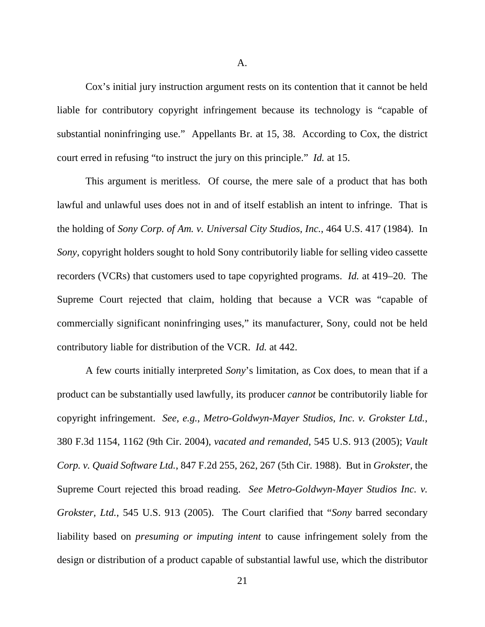A.

Cox's initial jury instruction argument rests on its contention that it cannot be held liable for contributory copyright infringement because its technology is "capable of substantial noninfringing use." Appellants Br. at 15, 38. According to Cox, the district court erred in refusing "to instruct the jury on this principle." *Id.* at 15.

This argument is meritless. Of course, the mere sale of a product that has both lawful and unlawful uses does not in and of itself establish an intent to infringe. That is the holding of *Sony Corp. of Am. v. Universal City Studios, Inc.*, 464 U.S. 417 (1984). In *Sony*, copyright holders sought to hold Sony contributorily liable for selling video cassette recorders (VCRs) that customers used to tape copyrighted programs. *Id.* at 419–20. The Supreme Court rejected that claim, holding that because a VCR was "capable of commercially significant noninfringing uses," its manufacturer, Sony, could not be held contributory liable for distribution of the VCR. *Id.* at 442.

A few courts initially interpreted *Sony*'s limitation, as Cox does, to mean that if a product can be substantially used lawfully, its producer *cannot* be contributorily liable for copyright infringement. *See, e.g.*, *Metro-Goldwyn-Mayer Studios, Inc. v. Grokster Ltd.*, 380 F.3d 1154, 1162 (9th Cir. 2004), *vacated and remanded*, 545 U.S. 913 (2005); *Vault Corp. v. Quaid Software Ltd.*, 847 F.2d 255, 262, 267 (5th Cir. 1988). But in *Grokster*, the Supreme Court rejected this broad reading. *See Metro-Goldwyn-Mayer Studios Inc. v. Grokster, Ltd.*, 545 U.S. 913 (2005). The Court clarified that "*Sony* barred secondary liability based on *presuming or imputing intent* to cause infringement solely from the design or distribution of a product capable of substantial lawful use, which the distributor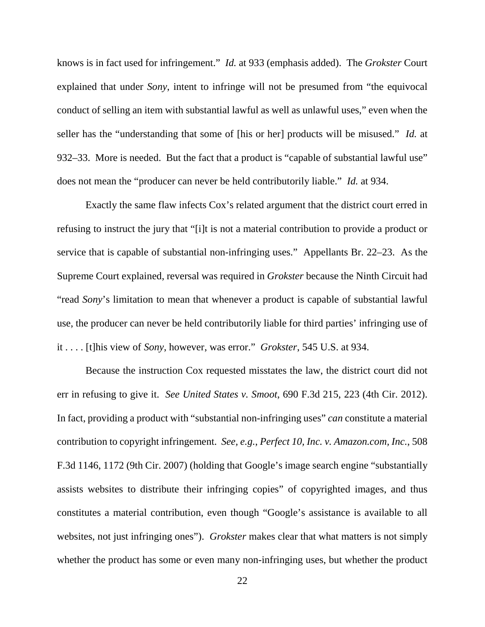knows is in fact used for infringement." *Id.* at 933 (emphasis added). The *Grokster* Court explained that under *Sony*, intent to infringe will not be presumed from "the equivocal conduct of selling an item with substantial lawful as well as unlawful uses," even when the seller has the "understanding that some of [his or her] products will be misused." *Id.* at 932–33. More is needed. But the fact that a product is "capable of substantial lawful use" does not mean the "producer can never be held contributorily liable." *Id.* at 934.

Exactly the same flaw infects Cox's related argument that the district court erred in refusing to instruct the jury that "[i]t is not a material contribution to provide a product or service that is capable of substantial non-infringing uses." Appellants Br. 22–23. As the Supreme Court explained, reversal was required in *Grokster* because the Ninth Circuit had "read *Sony*'s limitation to mean that whenever a product is capable of substantial lawful use, the producer can never be held contributorily liable for third parties' infringing use of it . . . . [t]his view of *Sony*, however, was error." *Grokster*, 545 U.S. at 934.

Because the instruction Cox requested misstates the law, the district court did not err in refusing to give it. *See United States v. Smoot*, 690 F.3d 215, 223 (4th Cir. 2012). In fact, providing a product with "substantial non-infringing uses" *can* constitute a material contribution to copyright infringement. *See, e.g.*, *Perfect 10, Inc. v. Amazon.com, Inc.*, 508 F.3d 1146, 1172 (9th Cir. 2007) (holding that Google's image search engine "substantially assists websites to distribute their infringing copies" of copyrighted images, and thus constitutes a material contribution, even though "Google's assistance is available to all websites, not just infringing ones"). *Grokster* makes clear that what matters is not simply whether the product has some or even many non-infringing uses, but whether the product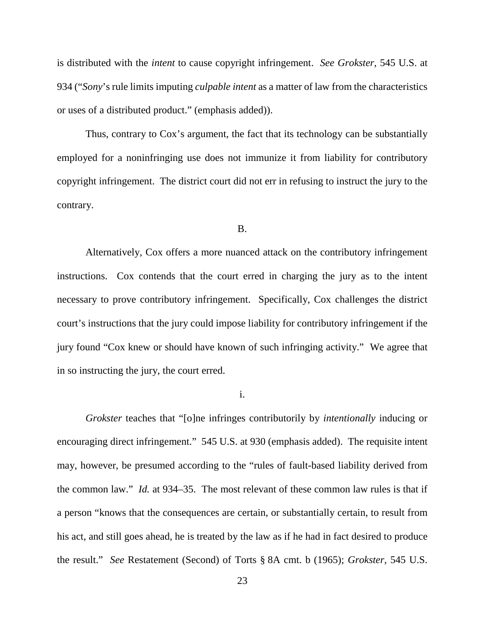is distributed with the *intent* to cause copyright infringement. *See Grokster*, 545 U.S. at 934 ("*Sony*'s rule limits imputing *culpable intent* as a matter of law from the characteristics or uses of a distributed product." (emphasis added)).

Thus, contrary to Cox's argument, the fact that its technology can be substantially employed for a noninfringing use does not immunize it from liability for contributory copyright infringement. The district court did not err in refusing to instruct the jury to the contrary.

#### B.

Alternatively, Cox offers a more nuanced attack on the contributory infringement instructions. Cox contends that the court erred in charging the jury as to the intent necessary to prove contributory infringement. Specifically, Cox challenges the district court's instructions that the jury could impose liability for contributory infringement if the jury found "Cox knew or should have known of such infringing activity." We agree that in so instructing the jury, the court erred.

i.

*Grokster* teaches that "[o]ne infringes contributorily by *intentionally* inducing or encouraging direct infringement." 545 U.S. at 930 (emphasis added). The requisite intent may, however, be presumed according to the "rules of fault-based liability derived from the common law." *Id.* at 934–35. The most relevant of these common law rules is that if a person "knows that the consequences are certain, or substantially certain, to result from his act, and still goes ahead, he is treated by the law as if he had in fact desired to produce the result." *See* Restatement (Second) of Torts § 8A cmt. b (1965); *Grokster*, 545 U.S.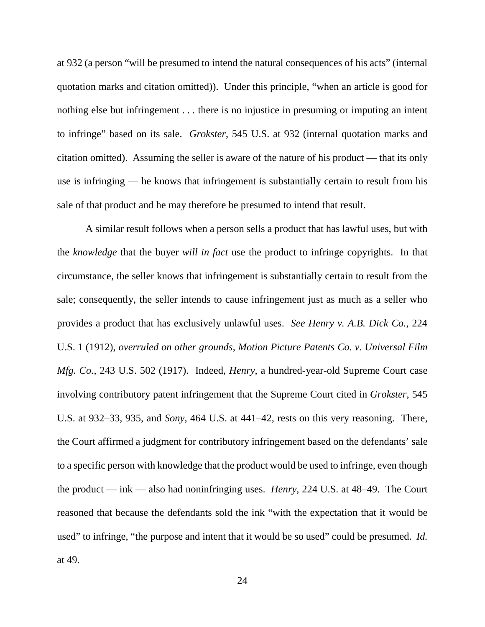at 932 (a person "will be presumed to intend the natural consequences of his acts" (internal quotation marks and citation omitted)). Under this principle, "when an article is good for nothing else but infringement . . . there is no injustice in presuming or imputing an intent to infringe" based on its sale. *Grokster*, 545 U.S. at 932 (internal quotation marks and citation omitted). Assuming the seller is aware of the nature of his product — that its only use is infringing — he knows that infringement is substantially certain to result from his sale of that product and he may therefore be presumed to intend that result.

A similar result follows when a person sells a product that has lawful uses, but with the *knowledge* that the buyer *will in fact* use the product to infringe copyrights. In that circumstance, the seller knows that infringement is substantially certain to result from the sale; consequently, the seller intends to cause infringement just as much as a seller who provides a product that has exclusively unlawful uses. *See Henry v. A.B. Dick Co.*, 224 U.S. 1 (1912), *overruled on other grounds*, *Motion Picture Patents Co. v. Universal Film Mfg. Co.*, 243 U.S. 502 (1917). Indeed, *Henry*, a hundred-year-old Supreme Court case involving contributory patent infringement that the Supreme Court cited in *Grokster*, 545 U.S. at 932–33, 935, and *Sony*, 464 U.S. at 441–42, rests on this very reasoning. There, the Court affirmed a judgment for contributory infringement based on the defendants' sale to a specific person with knowledge that the product would be used to infringe, even though the product — ink — also had noninfringing uses. *Henry*, 224 U.S. at 48–49. The Court reasoned that because the defendants sold the ink "with the expectation that it would be used" to infringe, "the purpose and intent that it would be so used" could be presumed. *Id.* at 49.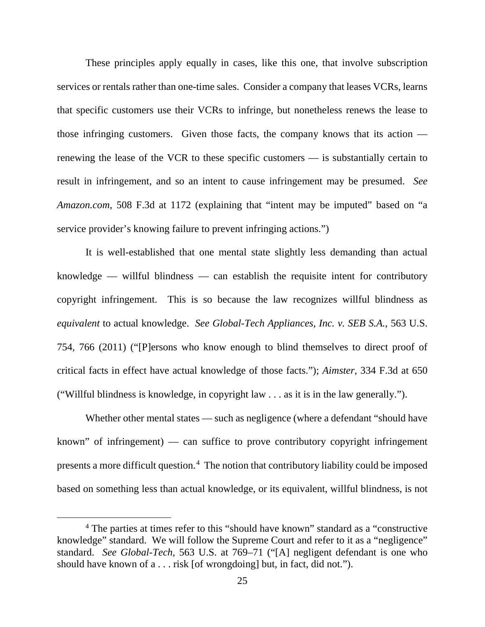These principles apply equally in cases, like this one, that involve subscription services or rentals rather than one-time sales. Consider a company that leases VCRs, learns that specific customers use their VCRs to infringe, but nonetheless renews the lease to those infringing customers. Given those facts, the company knows that its action renewing the lease of the VCR to these specific customers — is substantially certain to result in infringement, and so an intent to cause infringement may be presumed. *See Amazon.com*, 508 F.3d at 1172 (explaining that "intent may be imputed" based on "a service provider's knowing failure to prevent infringing actions.")

It is well-established that one mental state slightly less demanding than actual knowledge — willful blindness — can establish the requisite intent for contributory copyright infringement. This is so because the law recognizes willful blindness as *equivalent* to actual knowledge. *See Global-Tech Appliances, Inc. v. SEB S.A.*, 563 U.S. 754, 766 (2011) ("[P]ersons who know enough to blind themselves to direct proof of critical facts in effect have actual knowledge of those facts."); *Aimster*, 334 F.3d at 650 ("Willful blindness is knowledge, in copyright law . . . as it is in the law generally.").

Whether other mental states — such as negligence (where a defendant "should have known" of infringement) — can suffice to prove contributory copyright infringement presents a more difficult question. [4](#page-24-0) The notion that contributory liability could be imposed based on something less than actual knowledge, or its equivalent, willful blindness, is not

<span id="page-24-0"></span> <sup>4</sup> The parties at times refer to this "should have known" standard as a "constructive knowledge" standard. We will follow the Supreme Court and refer to it as a "negligence" standard. *See Global-Tech*, 563 U.S. at 769–71 ("[A] negligent defendant is one who should have known of a . . . risk [of wrongdoing] but, in fact, did not.").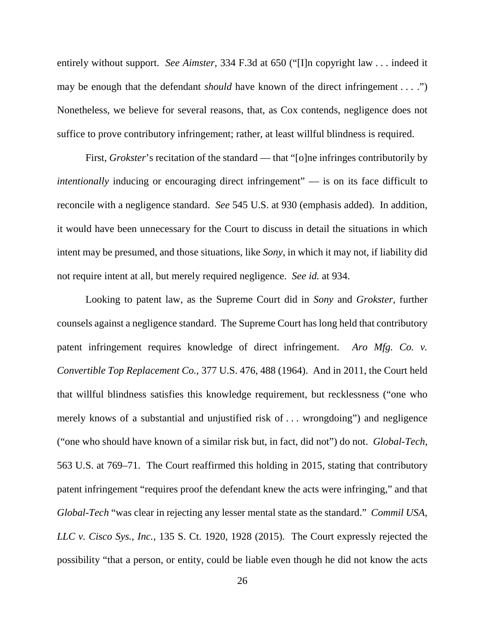entirely without support. *See Aimster*, 334 F.3d at 650 ("[I]n copyright law . . . indeed it may be enough that the defendant *should* have known of the direct infringement . . . .") Nonetheless, we believe for several reasons, that, as Cox contends, negligence does not suffice to prove contributory infringement; rather, at least willful blindness is required.

First, *Grokster*'s recitation of the standard — that "[o]ne infringes contributorily by *intentionally* inducing or encouraging direct infringement" — is on its face difficult to reconcile with a negligence standard. *See* 545 U.S. at 930 (emphasis added). In addition, it would have been unnecessary for the Court to discuss in detail the situations in which intent may be presumed, and those situations, like *Sony*, in which it may not, if liability did not require intent at all, but merely required negligence. *See id.* at 934.

Looking to patent law, as the Supreme Court did in *Sony* and *Grokster*, further counsels against a negligence standard. The Supreme Court has long held that contributory patent infringement requires knowledge of direct infringement. *Aro Mfg. Co. v. Convertible Top Replacement Co.*, 377 U.S. 476, 488 (1964). And in 2011, the Court held that willful blindness satisfies this knowledge requirement, but recklessness ("one who merely knows of a substantial and unjustified risk of . . . wrongdoing") and negligence ("one who should have known of a similar risk but, in fact, did not") do not. *Global-Tech*, 563 U.S. at 769–71. The Court reaffirmed this holding in 2015, stating that contributory patent infringement "requires proof the defendant knew the acts were infringing," and that *Global-Tech* "was clear in rejecting any lesser mental state as the standard." *Commil USA, LLC v. Cisco Sys., Inc.*, 135 S. Ct. 1920, 1928 (2015). The Court expressly rejected the possibility "that a person, or entity, could be liable even though he did not know the acts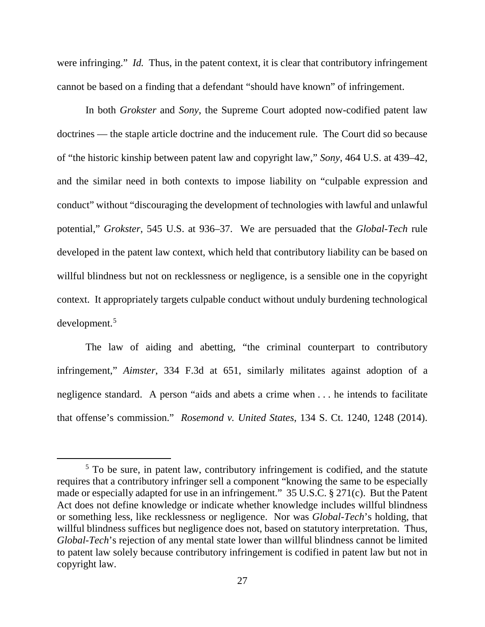were infringing." *Id.* Thus, in the patent context, it is clear that contributory infringement cannot be based on a finding that a defendant "should have known" of infringement.

In both *Grokster* and *Sony*, the Supreme Court adopted now-codified patent law doctrines — the staple article doctrine and the inducement rule. The Court did so because of "the historic kinship between patent law and copyright law," *Sony*, 464 U.S. at 439–42, and the similar need in both contexts to impose liability on "culpable expression and conduct" without "discouraging the development of technologies with lawful and unlawful potential," *Grokster*, 545 U.S. at 936–37. We are persuaded that the *Global-Tech* rule developed in the patent law context, which held that contributory liability can be based on willful blindness but not on recklessness or negligence, is a sensible one in the copyright context. It appropriately targets culpable conduct without unduly burdening technological development.[5](#page-26-0)

The law of aiding and abetting, "the criminal counterpart to contributory infringement," *Aimster*, 334 F.3d at 651, similarly militates against adoption of a negligence standard. A person "aids and abets a crime when . . . he intends to facilitate that offense's commission." *Rosemond v. United States*, 134 S. Ct. 1240, 1248 (2014).

<span id="page-26-0"></span> $5$  To be sure, in patent law, contributory infringement is codified, and the statute requires that a contributory infringer sell a component "knowing the same to be especially made or especially adapted for use in an infringement." 35 U.S.C. § 271(c). But the Patent Act does not define knowledge or indicate whether knowledge includes willful blindness or something less, like recklessness or negligence. Nor was *Global-Tech*'s holding, that willful blindness suffices but negligence does not, based on statutory interpretation. Thus, *Global-Tech*'s rejection of any mental state lower than willful blindness cannot be limited to patent law solely because contributory infringement is codified in patent law but not in copyright law.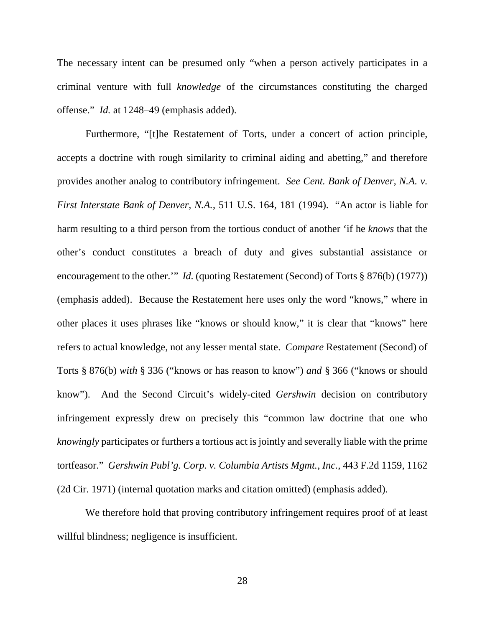The necessary intent can be presumed only "when a person actively participates in a criminal venture with full *knowledge* of the circumstances constituting the charged offense." *Id.* at 1248–49 (emphasis added).

Furthermore, "[t]he Restatement of Torts, under a concert of action principle, accepts a doctrine with rough similarity to criminal aiding and abetting," and therefore provides another analog to contributory infringement. *See Cent. Bank of Denver, N.A. v. First Interstate Bank of Denver, N.A.*, 511 U.S. 164, 181 (1994). "An actor is liable for harm resulting to a third person from the tortious conduct of another 'if he *knows* that the other's conduct constitutes a breach of duty and gives substantial assistance or encouragement to the other.'" *Id.* (quoting Restatement (Second) of Torts § 876(b) (1977)) (emphasis added). Because the Restatement here uses only the word "knows," where in other places it uses phrases like "knows or should know," it is clear that "knows" here refers to actual knowledge, not any lesser mental state. *Compare* Restatement (Second) of Torts § 876(b) *with* § 336 ("knows or has reason to know") *and* § 366 ("knows or should know"). And the Second Circuit's widely-cited *Gershwin* decision on contributory infringement expressly drew on precisely this "common law doctrine that one who *knowingly* participates or furthers a tortious act is jointly and severally liable with the prime tortfeasor." *Gershwin Publ'g. Corp. v. Columbia Artists Mgmt., Inc.*, 443 F.2d 1159, 1162 (2d Cir. 1971) (internal quotation marks and citation omitted) (emphasis added).

We therefore hold that proving contributory infringement requires proof of at least willful blindness; negligence is insufficient.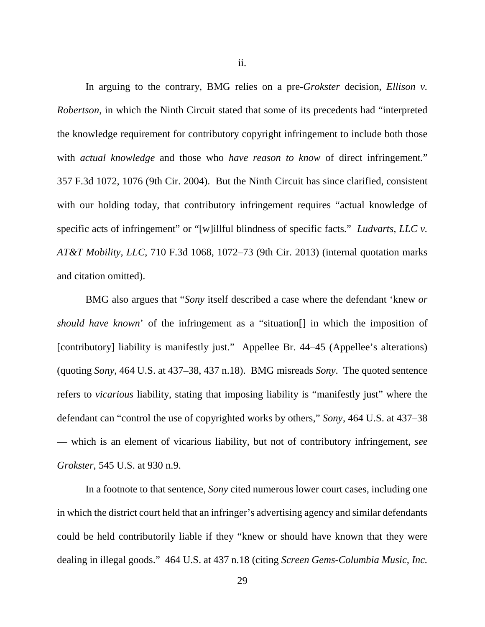ii.

In arguing to the contrary, BMG relies on a pre-*Grokster* decision, *Ellison v. Robertson*, in which the Ninth Circuit stated that some of its precedents had "interpreted the knowledge requirement for contributory copyright infringement to include both those with *actual knowledge* and those who *have reason to know* of direct infringement." 357 F.3d 1072, 1076 (9th Cir. 2004). But the Ninth Circuit has since clarified, consistent with our holding today, that contributory infringement requires "actual knowledge of specific acts of infringement" or "[w]illful blindness of specific facts." *Ludvarts, LLC v. AT&T Mobility, LLC*, 710 F.3d 1068, 1072–73 (9th Cir. 2013) (internal quotation marks and citation omitted).

BMG also argues that "*Sony* itself described a case where the defendant 'knew *or should have known*' of the infringement as a "situation[] in which the imposition of [contributory] liability is manifestly just." Appellee Br. 44–45 (Appellee's alterations) (quoting *Sony*, 464 U.S. at 437–38, 437 n.18). BMG misreads *Sony*. The quoted sentence refers to *vicarious* liability, stating that imposing liability is "manifestly just" where the defendant can "control the use of copyrighted works by others," *Sony*, 464 U.S. at 437–38 — which is an element of vicarious liability, but not of contributory infringement, *see Grokster*, 545 U.S. at 930 n.9.

In a footnote to that sentence, *Sony* cited numerous lower court cases, including one in which the district court held that an infringer's advertising agency and similar defendants could be held contributorily liable if they "knew or should have known that they were dealing in illegal goods." 464 U.S. at 437 n.18 (citing *Screen Gems-Columbia Music, Inc.*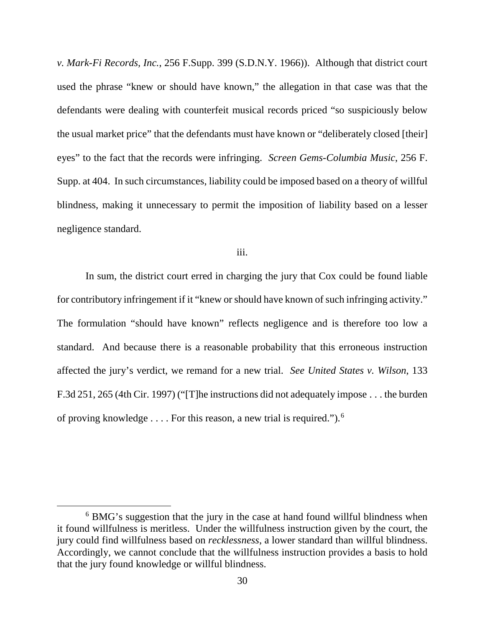*v. Mark-Fi Records, Inc.*, 256 F.Supp. 399 (S.D.N.Y. 1966)). Although that district court used the phrase "knew or should have known," the allegation in that case was that the defendants were dealing with counterfeit musical records priced "so suspiciously below the usual market price" that the defendants must have known or "deliberately closed [their] eyes" to the fact that the records were infringing. *Screen Gems-Columbia Music*, 256 F. Supp. at 404. In such circumstances, liability could be imposed based on a theory of willful blindness, making it unnecessary to permit the imposition of liability based on a lesser negligence standard.

iii.

In sum, the district court erred in charging the jury that Cox could be found liable for contributory infringement if it "knew or should have known of such infringing activity." The formulation "should have known" reflects negligence and is therefore too low a standard. And because there is a reasonable probability that this erroneous instruction affected the jury's verdict, we remand for a new trial. *See United States v. Wilson*, 133 F.3d 251, 265 (4th Cir. 1997) ("[T]he instructions did not adequately impose . . . the burden of proving knowledge . . . . For this reason, a new trial is required.").<sup>[6](#page-29-0)</sup>

<span id="page-29-0"></span><sup>&</sup>lt;sup>6</sup> BMG's suggestion that the jury in the case at hand found willful blindness when it found willfulness is meritless. Under the willfulness instruction given by the court, the jury could find willfulness based on *recklessness*, a lower standard than willful blindness. Accordingly, we cannot conclude that the willfulness instruction provides a basis to hold that the jury found knowledge or willful blindness.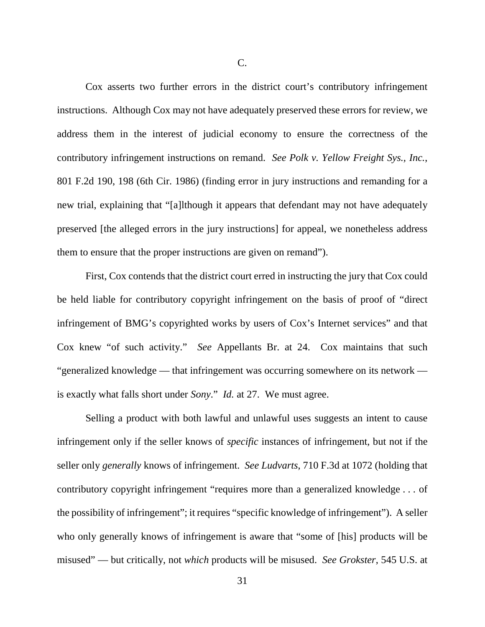Cox asserts two further errors in the district court's contributory infringement instructions. Although Cox may not have adequately preserved these errors for review, we address them in the interest of judicial economy to ensure the correctness of the contributory infringement instructions on remand. *See Polk v. Yellow Freight Sys., Inc.*, 801 F.2d 190, 198 (6th Cir. 1986) (finding error in jury instructions and remanding for a new trial, explaining that "[a]lthough it appears that defendant may not have adequately preserved [the alleged errors in the jury instructions] for appeal, we nonetheless address them to ensure that the proper instructions are given on remand").

First, Cox contends that the district court erred in instructing the jury that Cox could be held liable for contributory copyright infringement on the basis of proof of "direct infringement of BMG's copyrighted works by users of Cox's Internet services" and that Cox knew "of such activity." *See* Appellants Br. at 24. Cox maintains that such "generalized knowledge — that infringement was occurring somewhere on its network is exactly what falls short under *Sony*." *Id.* at 27. We must agree.

Selling a product with both lawful and unlawful uses suggests an intent to cause infringement only if the seller knows of *specific* instances of infringement, but not if the seller only *generally* knows of infringement. *See Ludvarts*, 710 F.3d at 1072 (holding that contributory copyright infringement "requires more than a generalized knowledge . . . of the possibility of infringement"; it requires "specific knowledge of infringement"). A seller who only generally knows of infringement is aware that "some of [his] products will be misused" — but critically, not *which* products will be misused. *See Grokster*, 545 U.S. at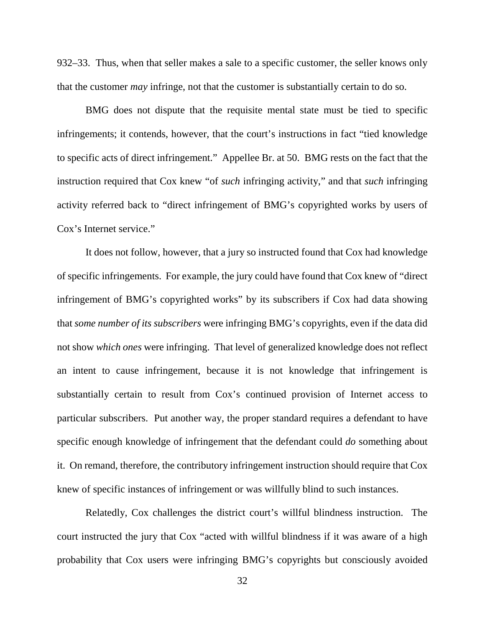932–33. Thus, when that seller makes a sale to a specific customer, the seller knows only that the customer *may* infringe, not that the customer is substantially certain to do so.

BMG does not dispute that the requisite mental state must be tied to specific infringements; it contends, however, that the court's instructions in fact "tied knowledge to specific acts of direct infringement." Appellee Br. at 50. BMG rests on the fact that the instruction required that Cox knew "of *such* infringing activity," and that *such* infringing activity referred back to "direct infringement of BMG's copyrighted works by users of Cox's Internet service."

It does not follow, however, that a jury so instructed found that Cox had knowledge of specific infringements. For example, the jury could have found that Cox knew of "direct infringement of BMG's copyrighted works" by its subscribers if Cox had data showing that *some number of its subscribers* were infringing BMG's copyrights, even if the data did not show *which ones* were infringing. That level of generalized knowledge does not reflect an intent to cause infringement, because it is not knowledge that infringement is substantially certain to result from Cox's continued provision of Internet access to particular subscribers. Put another way, the proper standard requires a defendant to have specific enough knowledge of infringement that the defendant could *do* something about it. On remand, therefore, the contributory infringement instruction should require that Cox knew of specific instances of infringement or was willfully blind to such instances.

Relatedly, Cox challenges the district court's willful blindness instruction. The court instructed the jury that Cox "acted with willful blindness if it was aware of a high probability that Cox users were infringing BMG's copyrights but consciously avoided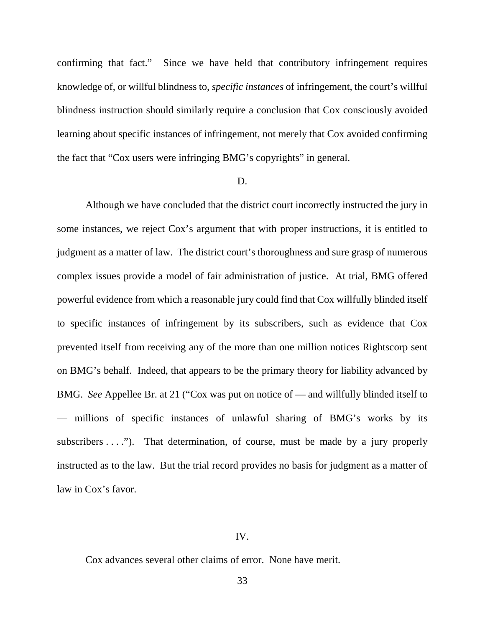confirming that fact." Since we have held that contributory infringement requires knowledge of, or willful blindness to, *specific instances* of infringement, the court's willful blindness instruction should similarly require a conclusion that Cox consciously avoided learning about specific instances of infringement, not merely that Cox avoided confirming the fact that "Cox users were infringing BMG's copyrights" in general.

### D.

Although we have concluded that the district court incorrectly instructed the jury in some instances, we reject Cox's argument that with proper instructions, it is entitled to judgment as a matter of law. The district court's thoroughness and sure grasp of numerous complex issues provide a model of fair administration of justice. At trial, BMG offered powerful evidence from which a reasonable jury could find that Cox willfully blinded itself to specific instances of infringement by its subscribers, such as evidence that Cox prevented itself from receiving any of the more than one million notices Rightscorp sent on BMG's behalf. Indeed, that appears to be the primary theory for liability advanced by BMG. *See* Appellee Br. at 21 ("Cox was put on notice of — and willfully blinded itself to — millions of specific instances of unlawful sharing of BMG's works by its subscribers  $\dots$ "). That determination, of course, must be made by a jury properly instructed as to the law. But the trial record provides no basis for judgment as a matter of law in Cox's favor.

### IV.

Cox advances several other claims of error. None have merit.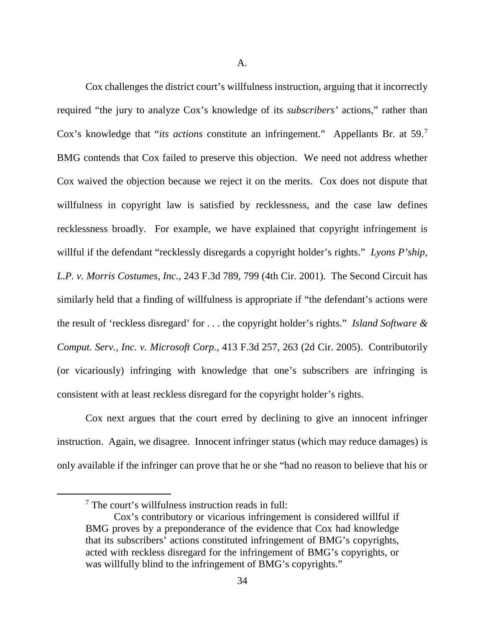A.

Cox challenges the district court's willfulness instruction, arguing that it incorrectly required "the jury to analyze Cox's knowledge of its *subscribers'* actions," rather than Cox's knowledge that "*its actions* constitute an infringement." Appellants Br. at 59.[7](#page-33-0) BMG contends that Cox failed to preserve this objection. We need not address whether Cox waived the objection because we reject it on the merits. Cox does not dispute that willfulness in copyright law is satisfied by recklessness, and the case law defines recklessness broadly. For example, we have explained that copyright infringement is willful if the defendant "recklessly disregards a copyright holder's rights." *Lyons P'ship*, *L.P. v. Morris Costumes, Inc.*, 243 F.3d 789, 799 (4th Cir. 2001). The Second Circuit has similarly held that a finding of willfulness is appropriate if "the defendant's actions were the result of 'reckless disregard' for . . . the copyright holder's rights." *Island Software & Comput. Serv., Inc. v. Microsoft Corp.*, 413 F.3d 257, 263 (2d Cir. 2005). Contributorily (or vicariously) infringing with knowledge that one's subscribers are infringing is consistent with at least reckless disregard for the copyright holder's rights.

Cox next argues that the court erred by declining to give an innocent infringer instruction. Again, we disagree. Innocent infringer status (which may reduce damages) is only available if the infringer can prove that he or she "had no reason to believe that his or

<span id="page-33-0"></span> <sup>7</sup> The court's willfulness instruction reads in full:

Cox's contributory or vicarious infringement is considered willful if BMG proves by a preponderance of the evidence that Cox had knowledge that its subscribers' actions constituted infringement of BMG's copyrights, acted with reckless disregard for the infringement of BMG's copyrights, or was willfully blind to the infringement of BMG's copyrights."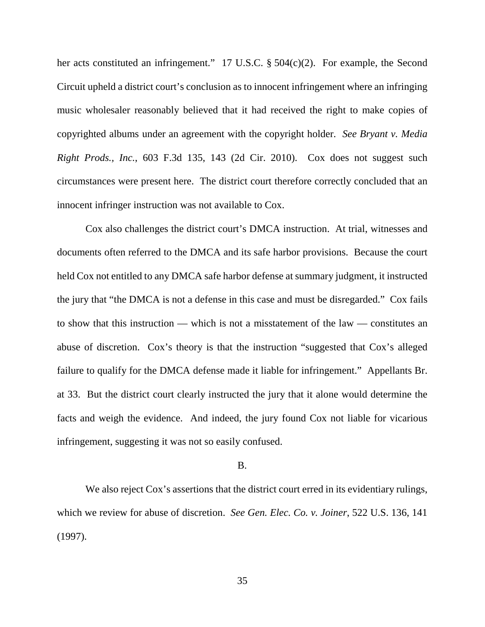her acts constituted an infringement." 17 U.S.C. § 504(c)(2). For example, the Second Circuit upheld a district court's conclusion as to innocent infringement where an infringing music wholesaler reasonably believed that it had received the right to make copies of copyrighted albums under an agreement with the copyright holder. *See Bryant v. Media Right Prods., Inc.*, 603 F.3d 135, 143 (2d Cir. 2010). Cox does not suggest such circumstances were present here. The district court therefore correctly concluded that an innocent infringer instruction was not available to Cox.

Cox also challenges the district court's DMCA instruction. At trial, witnesses and documents often referred to the DMCA and its safe harbor provisions. Because the court held Cox not entitled to any DMCA safe harbor defense at summary judgment, it instructed the jury that "the DMCA is not a defense in this case and must be disregarded." Cox fails to show that this instruction — which is not a misstatement of the law — constitutes an abuse of discretion. Cox's theory is that the instruction "suggested that Cox's alleged failure to qualify for the DMCA defense made it liable for infringement." Appellants Br. at 33. But the district court clearly instructed the jury that it alone would determine the facts and weigh the evidence. And indeed, the jury found Cox not liable for vicarious infringement, suggesting it was not so easily confused.

#### B.

We also reject Cox's assertions that the district court erred in its evidentiary rulings, which we review for abuse of discretion. *See Gen. Elec. Co. v. Joiner*, 522 U.S. 136, 141 (1997).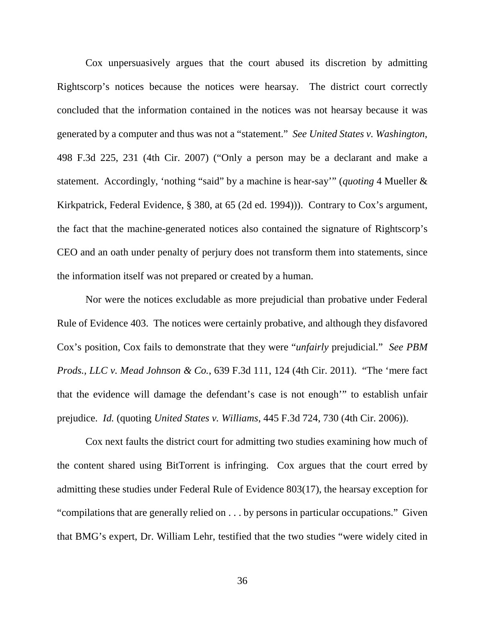Cox unpersuasively argues that the court abused its discretion by admitting Rightscorp's notices because the notices were hearsay. The district court correctly concluded that the information contained in the notices was not hearsay because it was generated by a computer and thus was not a "statement." *See United States v. Washington*, 498 F.3d 225, 231 (4th Cir. 2007) ("Only a person may be a declarant and make a statement. Accordingly, 'nothing "said" by a machine is hear-say'" (*quoting* 4 Mueller & Kirkpatrick, Federal Evidence, § 380, at 65 (2d ed. 1994))). Contrary to Cox's argument, the fact that the machine-generated notices also contained the signature of Rightscorp's CEO and an oath under penalty of perjury does not transform them into statements, since the information itself was not prepared or created by a human.

Nor were the notices excludable as more prejudicial than probative under Federal Rule of Evidence 403. The notices were certainly probative, and although they disfavored Cox's position, Cox fails to demonstrate that they were "*unfairly* prejudicial." *See PBM Prods., LLC v. Mead Johnson & Co.*, 639 F.3d 111, 124 (4th Cir. 2011). "The 'mere fact that the evidence will damage the defendant's case is not enough'" to establish unfair prejudice. *Id.* (quoting *United States v. Williams*, 445 F.3d 724, 730 (4th Cir. 2006)).

Cox next faults the district court for admitting two studies examining how much of the content shared using BitTorrent is infringing. Cox argues that the court erred by admitting these studies under Federal Rule of Evidence 803(17), the hearsay exception for "compilations that are generally relied on . . . by persons in particular occupations." Given that BMG's expert, Dr. William Lehr, testified that the two studies "were widely cited in